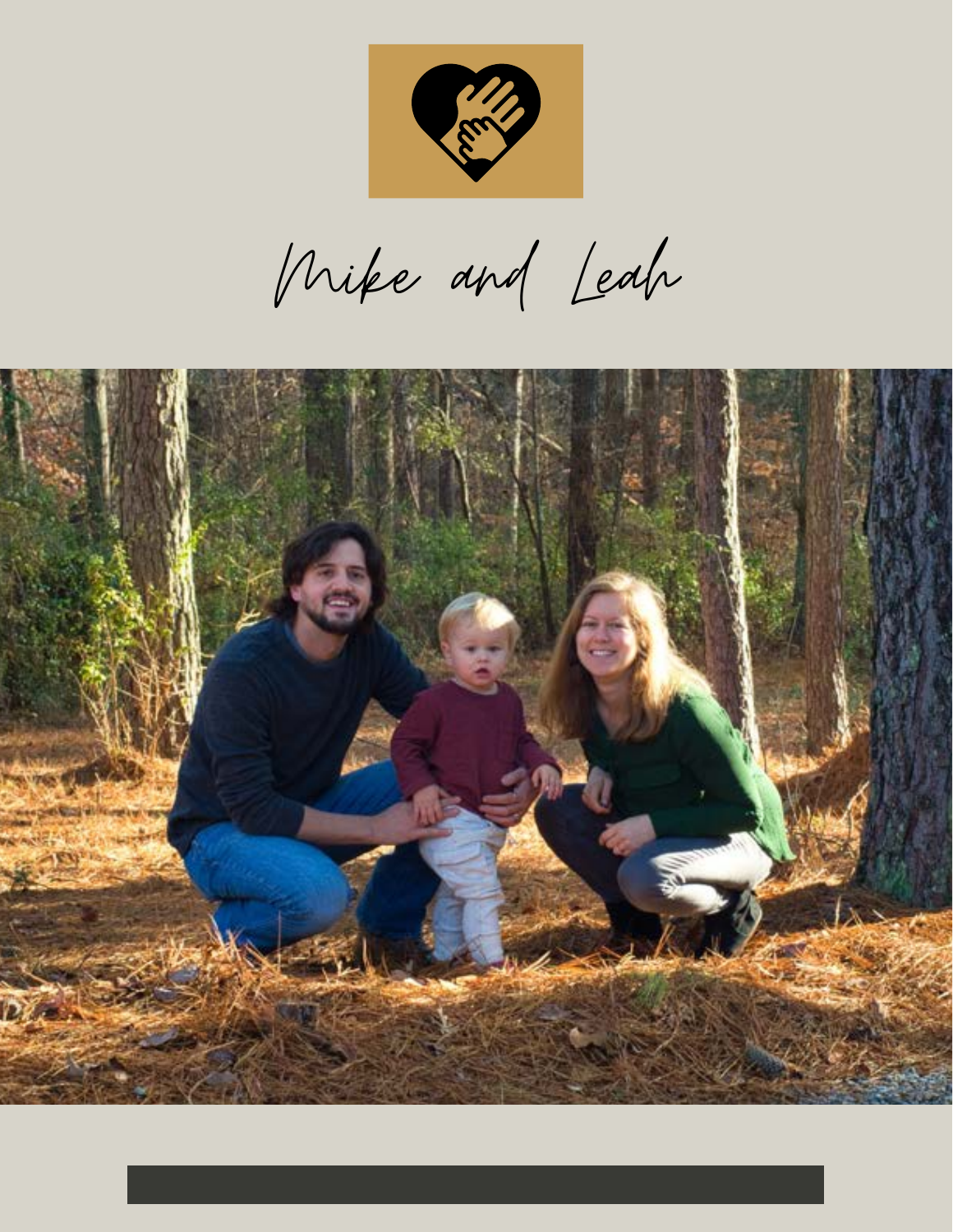

Mike and Leah

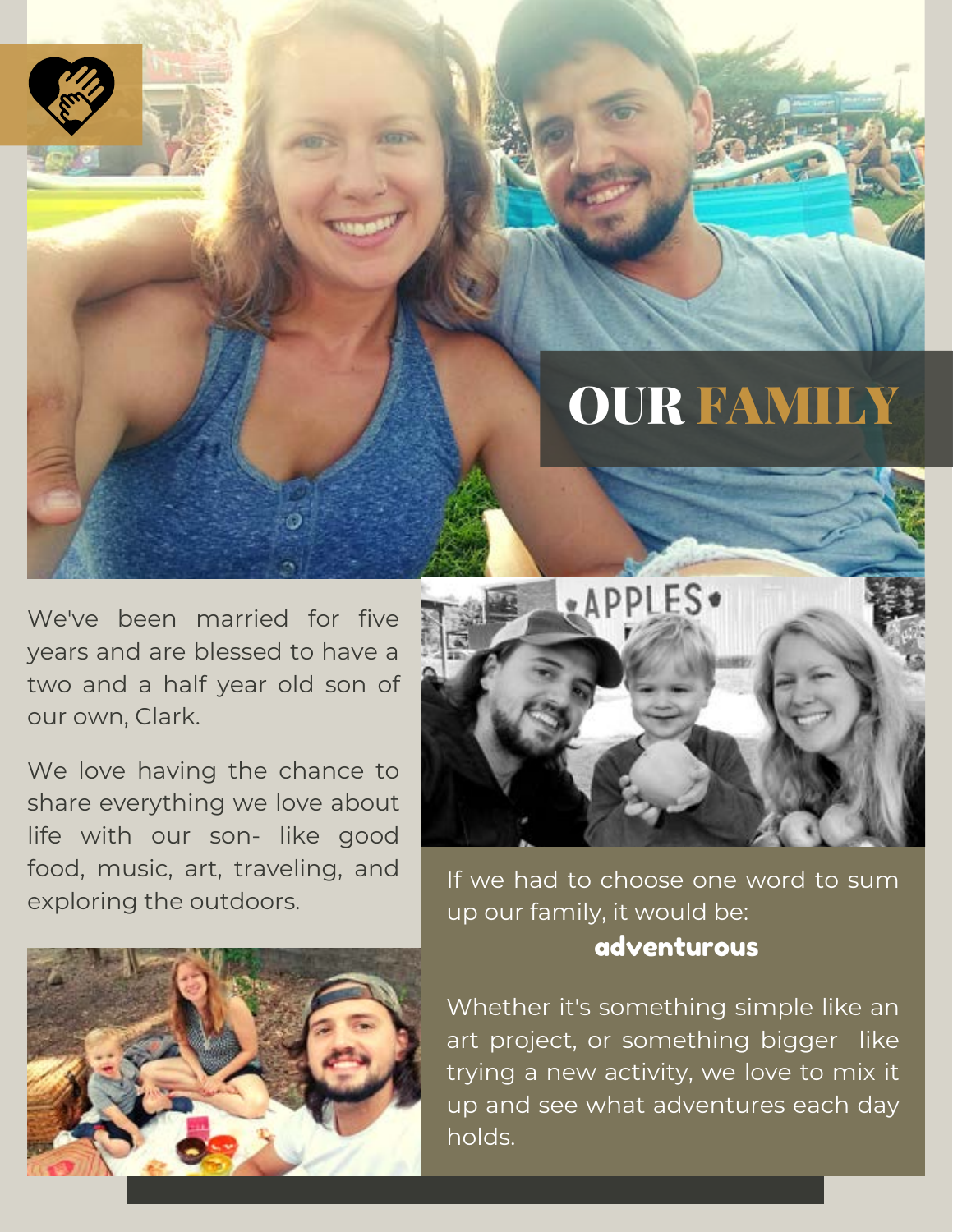## OUR FAMILY

We've been married for five years and are blessed to have a two and a half year old son of our own, Clark.

We love having the chance to share everything we love about life with our son- like good food, music, art, traveling, and exploring the outdoors.





If we had to choose one word to sum up our family, it would be: adventurous

Whether it's something simple like an art project, or something bigger like trying a new activity, we love to mix it up and see what adventures each day holds.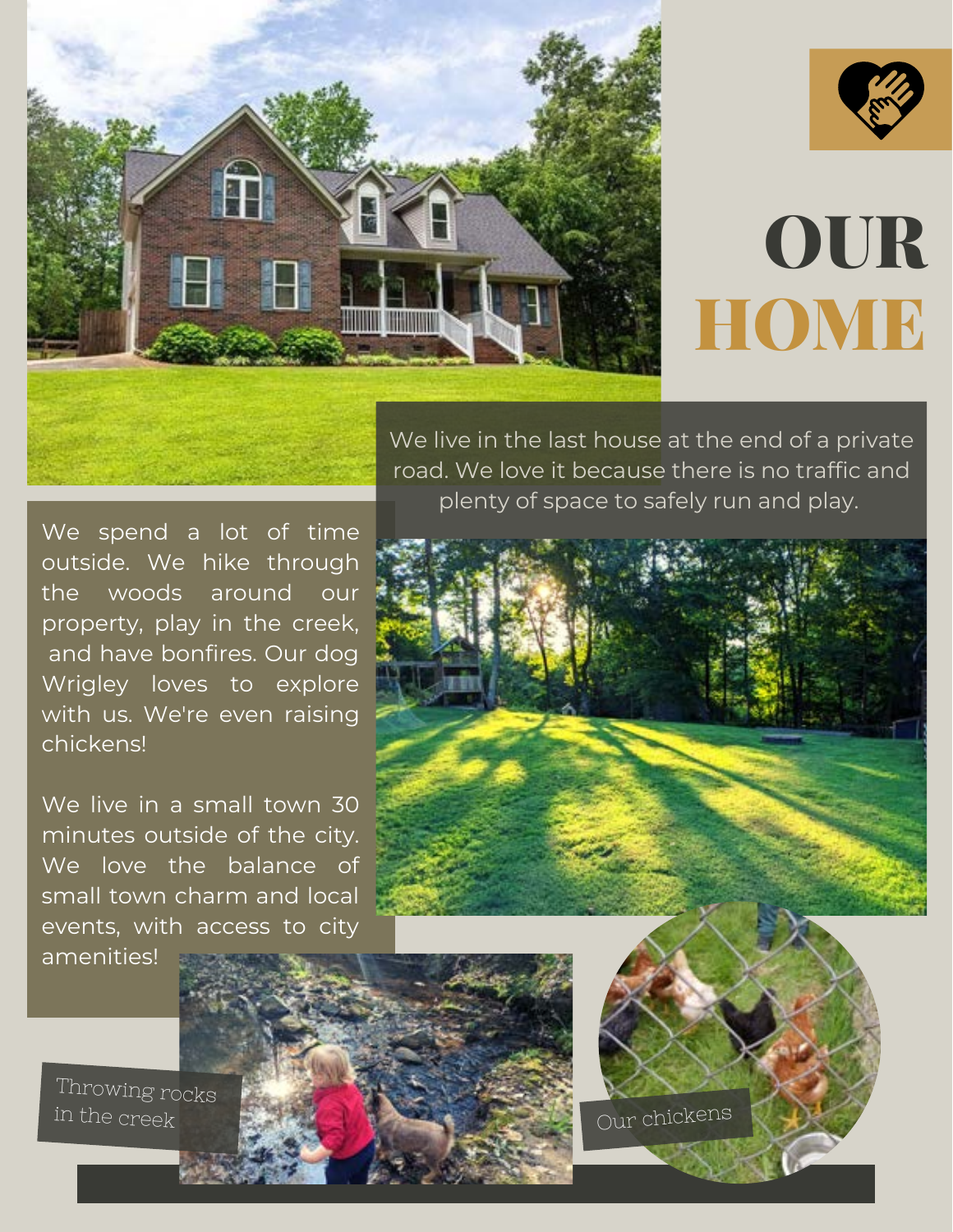



## OUR HOME

We live in the last house at the end of a private road. We love it because there is no traffic and plenty of space to safely run and play.

We spend a lot of time outside. We hike through the woods around our property, play in the creek, and have bonfires. Our dog Wrigley loves to explore with us. We're even raising chickens!

We live in a small town 30 minutes outside of the city. We love the balance of small town charm and local events, with access to city amenities!



Our chickens

Throwing rocks in the creek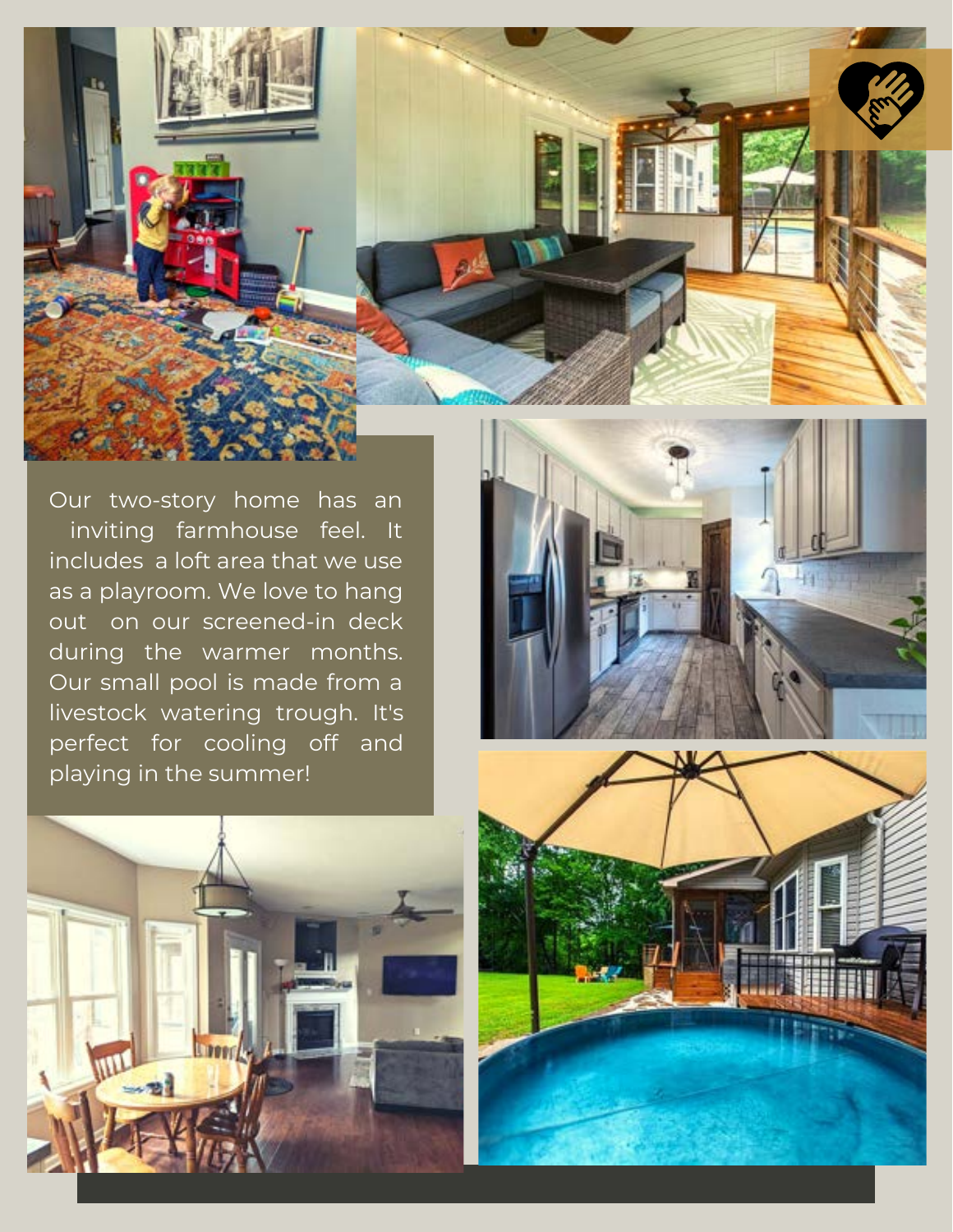

Our two-story home has an inviting farmhouse feel. It includes a loft area that we use as a playroom. We love to hang out on our screened-in deck during the warmer months. Our small pool is made from a livestock watering trough. It's perfect for cooling off and playing in the summer!





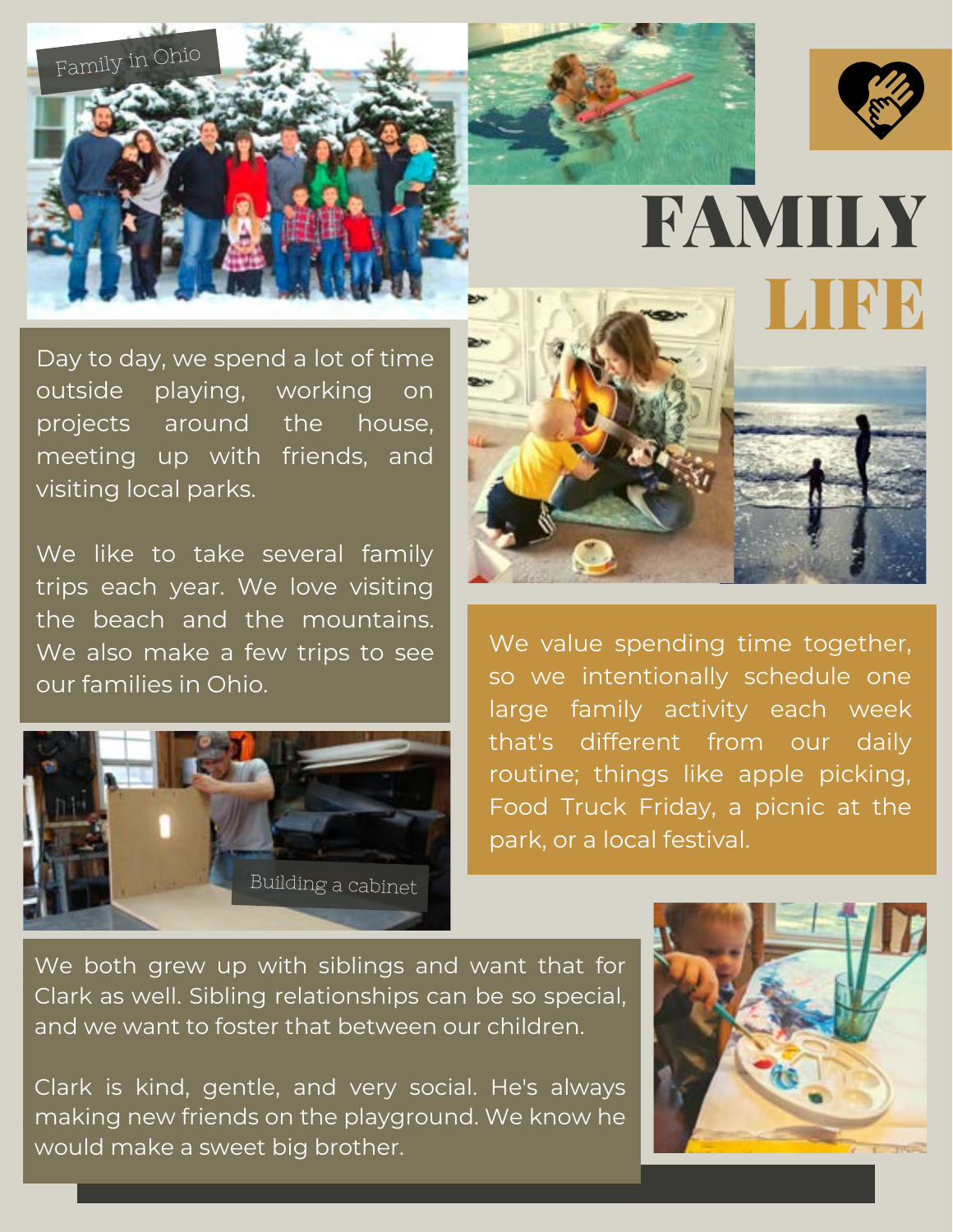



FAMILY

Day to day, we spend a lot of time outside playing, working on projects around the house, meeting up with friends, and visiting local parks.

We like to take several family trips each year. We love visiting the beach and the mountains. We also make a few trips to see our families in Ohio.





We value spending time together, so we intentionally schedule one large family activity each week that's different from our daily routine; things like apple picking, Food Truck Friday, a picnic at the park, or a local festival.

We both grew up with siblings and want that for Clark as well. Sibling relationships can be so special, and we want to foster that between our children.

Clark is kind, gentle, and very social. He's always making new friends on the playground. We know he would make a sweet big brother.

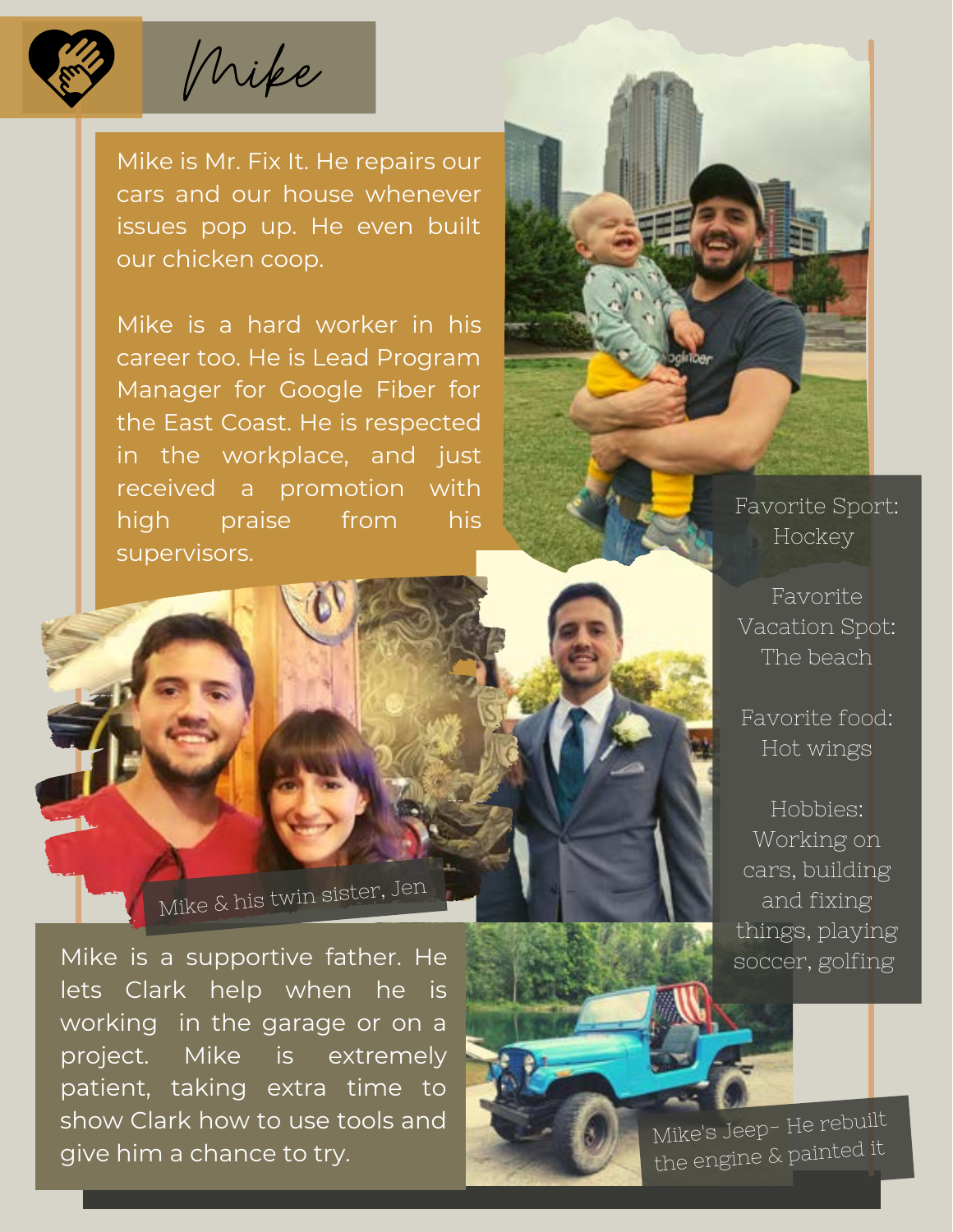

Mike is Mr. Fix It. He repairs our cars and our house whenever issues pop up. He even built our chicken coop.

Mike

Mike is a hard worker in his career too. He is Lead Program Manager for Google Fiber for the East Coast. He is respected in the workplace, and just received a promotion with high praise from his supervisors.

Favorite Sport: Hockey

Favorite Vacation Spot: The beach

Favorite food: Hot wings

Hobbies: Working on cars, building and fixing things, playing soccer, golfing

Mike & his twin sister, Jen

Mike is a supportive father. He lets Clark help when he is working in the garage or on a project. Mike is extremely patient, taking extra time to show Clark how to use tools and give him a chance to try.

Mike's Jeep- He rebuilt<br>the engine & painted it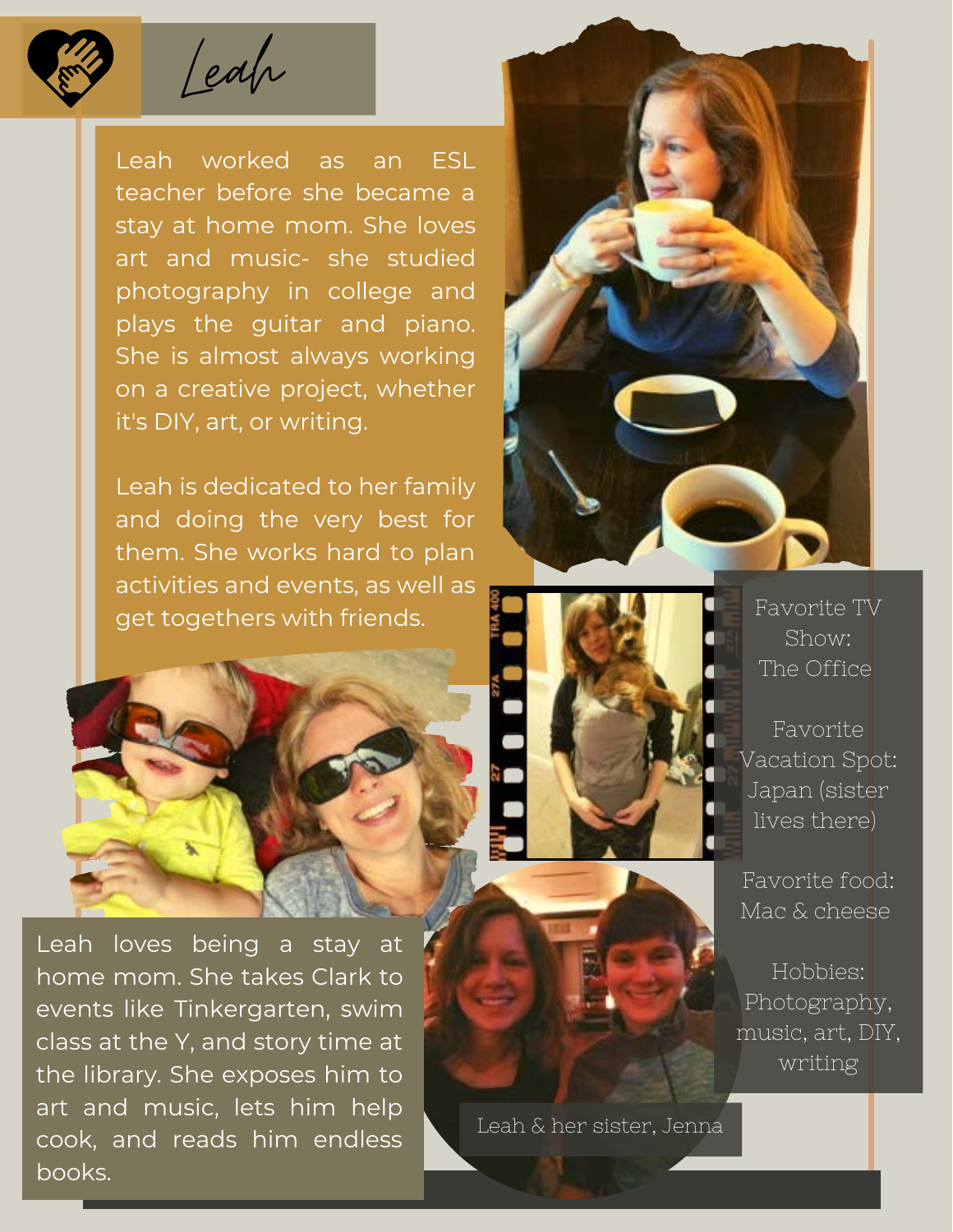

Leah worked as an ESL teacher before she became a stay at home mom. She loves art and music- she studied photography in college and plays the guitar and piano. She is almost always working on a creative project, whether it's DIY, art, or writing.

Leah is dedicated to her family and doing the very best for them. She works hard to plan activities and events, as well as get togethers with friends.



Leah loves being a stay at home mom. She takes Clark to events like Tinkergarten, swim class at the Y, and story time at the library. She exposes him to art and music, lets him help cook, and reads him endless books.





Favorite TV Show: The Office

Favorite Vacation Spot: Japan (sister lives there)

Favorite food: Mac & cheese

Hobbies: Photography, music, art, DIY, writing

Leah & her sister, Jenna